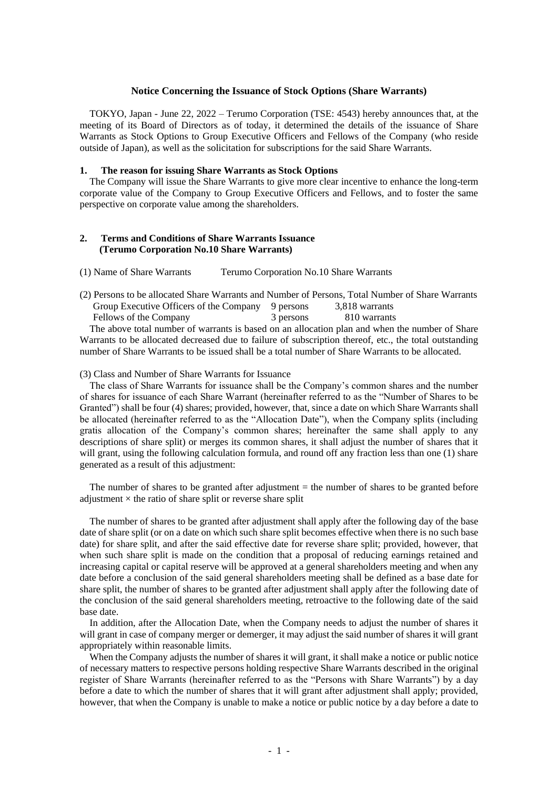## **Notice Concerning the Issuance of Stock Options (Share Warrants)**

TOKYO, Japan - June 22, 2022 – Terumo Corporation (TSE: 4543) hereby announces that, at the meeting of its Board of Directors as of today, it determined the details of the issuance of Share Warrants as Stock Options to Group Executive Officers and Fellows of the Company (who reside outside of Japan), as well as the solicitation for subscriptions for the said Share Warrants.

## **1. The reason for issuing Share Warrants as Stock Options**

The Company will issue the Share Warrants to give more clear incentive to enhance the long-term corporate value of the Company to Group Executive Officers and Fellows, and to foster the same perspective on corporate value among the shareholders.

## **2. Terms and Conditions of Share Warrants Issuance (Terumo Corporation No.10 Share Warrants)**

(1) Name of Share Warrants Terumo Corporation No.10 Share Warrants

(2) Persons to be allocated Share Warrants and Number of Persons, Total Number of Share Warrants Group Executive Officers of the Company 9 persons 3,818 warrants Fellows of the Company 3 persons 810 warrants

The above total number of warrants is based on an allocation plan and when the number of Share Warrants to be allocated decreased due to failure of subscription thereof, etc., the total outstanding number of Share Warrants to be issued shall be a total number of Share Warrants to be allocated.

(3) Class and Number of Share Warrants for Issuance

The class of Share Warrants for issuance shall be the Company's common shares and the number of shares for issuance of each Share Warrant (hereinafter referred to as the "Number of Shares to be Granted") shall be four (4) shares; provided, however, that, since a date on which Share Warrants shall be allocated (hereinafter referred to as the "Allocation Date"), when the Company splits (including gratis allocation of the Company's common shares; hereinafter the same shall apply to any descriptions of share split) or merges its common shares, it shall adjust the number of shares that it will grant, using the following calculation formula, and round off any fraction less than one (1) share generated as a result of this adjustment:

The number of shares to be granted after adjustment  $=$  the number of shares to be granted before adjustment  $\times$  the ratio of share split or reverse share split

The number of shares to be granted after adjustment shall apply after the following day of the base date of share split (or on a date on which such share split becomes effective when there is no such base date) for share split, and after the said effective date for reverse share split; provided, however, that when such share split is made on the condition that a proposal of reducing earnings retained and increasing capital or capital reserve will be approved at a general shareholders meeting and when any date before a conclusion of the said general shareholders meeting shall be defined as a base date for share split, the number of shares to be granted after adjustment shall apply after the following date of the conclusion of the said general shareholders meeting, retroactive to the following date of the said base date.

In addition, after the Allocation Date, when the Company needs to adjust the number of shares it will grant in case of company merger or demerger, it may adjust the said number of shares it will grant appropriately within reasonable limits.

When the Company adjusts the number of shares it will grant, it shall make a notice or public notice of necessary matters to respective persons holding respective Share Warrants described in the original register of Share Warrants (hereinafter referred to as the "Persons with Share Warrants") by a day before a date to which the number of shares that it will grant after adjustment shall apply; provided, however, that when the Company is unable to make a notice or public notice by a day before a date to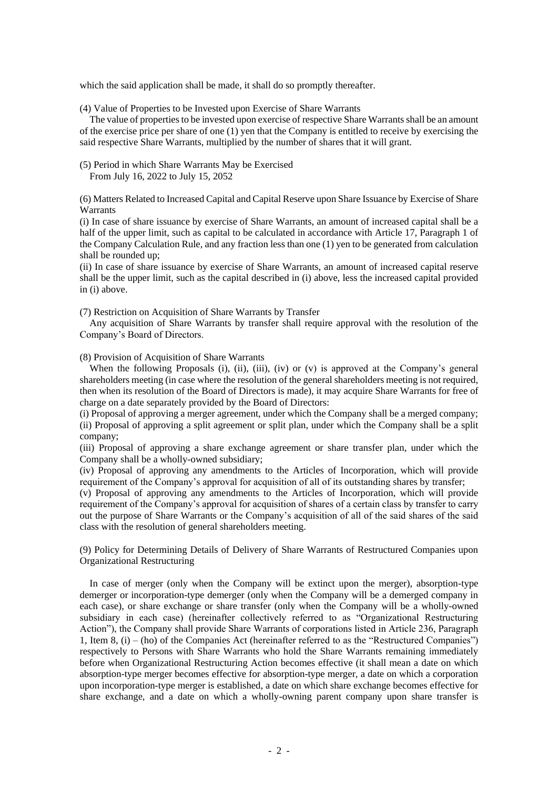which the said application shall be made, it shall do so promptly thereafter.

(4) Value of Properties to be Invested upon Exercise of Share Warrants

The value of properties to be invested upon exercise of respective Share Warrants shall be an amount of the exercise price per share of one (1) yen that the Company is entitled to receive by exercising the said respective Share Warrants, multiplied by the number of shares that it will grant.

(5) Period in which Share Warrants May be Exercised From July 16, 2022 to July 15, 2052

(6) Matters Related to Increased Capital and Capital Reserve upon Share Issuance by Exercise of Share Warrants

(i) In case of share issuance by exercise of Share Warrants, an amount of increased capital shall be a half of the upper limit, such as capital to be calculated in accordance with Article 17, Paragraph 1 of the Company Calculation Rule, and any fraction less than one (1) yen to be generated from calculation shall be rounded up;

(ii) In case of share issuance by exercise of Share Warrants, an amount of increased capital reserve shall be the upper limit, such as the capital described in (i) above, less the increased capital provided in (i) above.

(7) Restriction on Acquisition of Share Warrants by Transfer

Any acquisition of Share Warrants by transfer shall require approval with the resolution of the Company's Board of Directors.

(8) Provision of Acquisition of Share Warrants

When the following Proposals (i), (ii), (iii), (iv) or (v) is approved at the Company's general shareholders meeting (in case where the resolution of the general shareholders meeting is not required, then when its resolution of the Board of Directors is made), it may acquire Share Warrants for free of charge on a date separately provided by the Board of Directors:

(i) Proposal of approving a merger agreement, under which the Company shall be a merged company; (ii) Proposal of approving a split agreement or split plan, under which the Company shall be a split company;

(iii) Proposal of approving a share exchange agreement or share transfer plan, under which the Company shall be a wholly-owned subsidiary;

(iv) Proposal of approving any amendments to the Articles of Incorporation, which will provide requirement of the Company's approval for acquisition of all of its outstanding shares by transfer;

(v) Proposal of approving any amendments to the Articles of Incorporation, which will provide requirement of the Company's approval for acquisition of shares of a certain class by transfer to carry out the purpose of Share Warrants or the Company's acquisition of all of the said shares of the said class with the resolution of general shareholders meeting.

(9) Policy for Determining Details of Delivery of Share Warrants of Restructured Companies upon Organizational Restructuring

In case of merger (only when the Company will be extinct upon the merger), absorption-type demerger or incorporation-type demerger (only when the Company will be a demerged company in each case), or share exchange or share transfer (only when the Company will be a wholly-owned subsidiary in each case) (hereinafter collectively referred to as "Organizational Restructuring Action"), the Company shall provide Share Warrants of corporations listed in Article 236, Paragraph 1, Item 8, (i) – (ho) of the Companies Act (hereinafter referred to as the "Restructured Companies") respectively to Persons with Share Warrants who hold the Share Warrants remaining immediately before when Organizational Restructuring Action becomes effective (it shall mean a date on which absorption-type merger becomes effective for absorption-type merger, a date on which a corporation upon incorporation-type merger is established, a date on which share exchange becomes effective for share exchange, and a date on which a wholly-owning parent company upon share transfer is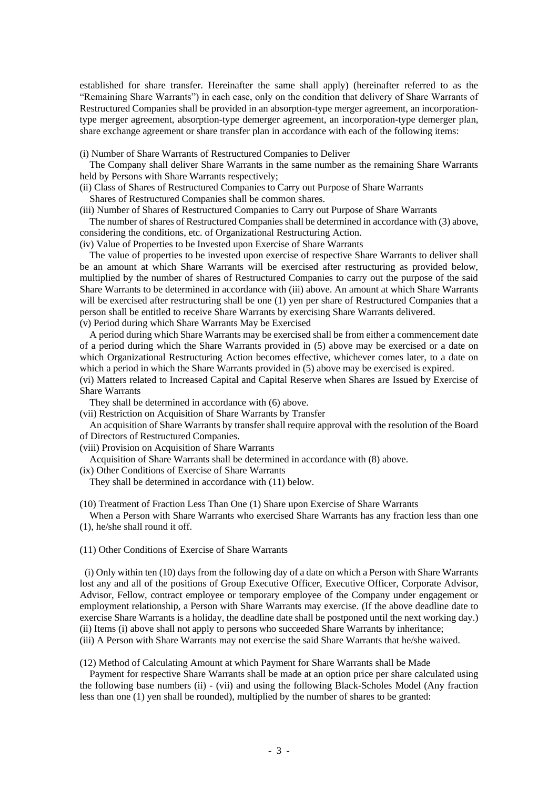established for share transfer. Hereinafter the same shall apply) (hereinafter referred to as the "Remaining Share Warrants") in each case, only on the condition that delivery of Share Warrants of Restructured Companies shall be provided in an absorption-type merger agreement, an incorporationtype merger agreement, absorption-type demerger agreement, an incorporation-type demerger plan, share exchange agreement or share transfer plan in accordance with each of the following items:

(i) Number of Share Warrants of Restructured Companies to Deliver

The Company shall deliver Share Warrants in the same number as the remaining Share Warrants held by Persons with Share Warrants respectively;

(ii) Class of Shares of Restructured Companies to Carry out Purpose of Share Warrants Shares of Restructured Companies shall be common shares.

(iii) Number of Shares of Restructured Companies to Carry out Purpose of Share Warrants

The number of shares of Restructured Companies shall be determined in accordance with (3) above, considering the conditions, etc. of Organizational Restructuring Action.

(iv) Value of Properties to be Invested upon Exercise of Share Warrants

The value of properties to be invested upon exercise of respective Share Warrants to deliver shall be an amount at which Share Warrants will be exercised after restructuring as provided below, multiplied by the number of shares of Restructured Companies to carry out the purpose of the said Share Warrants to be determined in accordance with (iii) above. An amount at which Share Warrants will be exercised after restructuring shall be one (1) yen per share of Restructured Companies that a person shall be entitled to receive Share Warrants by exercising Share Warrants delivered.

(v) Period during which Share Warrants May be Exercised

A period during which Share Warrants may be exercised shall be from either a commencement date of a period during which the Share Warrants provided in (5) above may be exercised or a date on which Organizational Restructuring Action becomes effective, whichever comes later, to a date on which a period in which the Share Warrants provided in (5) above may be exercised is expired.

(vi) Matters related to Increased Capital and Capital Reserve when Shares are Issued by Exercise of Share Warrants

They shall be determined in accordance with (6) above.

(vii) Restriction on Acquisition of Share Warrants by Transfer

An acquisition of Share Warrants by transfer shall require approval with the resolution of the Board of Directors of Restructured Companies.

(viii) Provision on Acquisition of Share Warrants

Acquisition of Share Warrants shall be determined in accordance with (8) above.

(ix) Other Conditions of Exercise of Share Warrants

They shall be determined in accordance with (11) below.

(10) Treatment of Fraction Less Than One (1) Share upon Exercise of Share Warrants

When a Person with Share Warrants who exercised Share Warrants has any fraction less than one (1), he/she shall round it off.

(11) Other Conditions of Exercise of Share Warrants

(i) Only within ten (10) days from the following day of a date on which a Person with Share Warrants lost any and all of the positions of Group Executive Officer, Executive Officer, Corporate Advisor, Advisor, Fellow, contract employee or temporary employee of the Company under engagement or employment relationship, a Person with Share Warrants may exercise. (If the above deadline date to exercise Share Warrants is a holiday, the deadline date shall be postponed until the next working day.) (ii) Items (i) above shall not apply to persons who succeeded Share Warrants by inheritance; (iii) A Person with Share Warrants may not exercise the said Share Warrants that he/she waived.

(12) Method of Calculating Amount at which Payment for Share Warrants shall be Made

Payment for respective Share Warrants shall be made at an option price per share calculated using the following base numbers (ii) - (vii) and using the following Black-Scholes Model (Any fraction less than one (1) yen shall be rounded), multiplied by the number of shares to be granted: